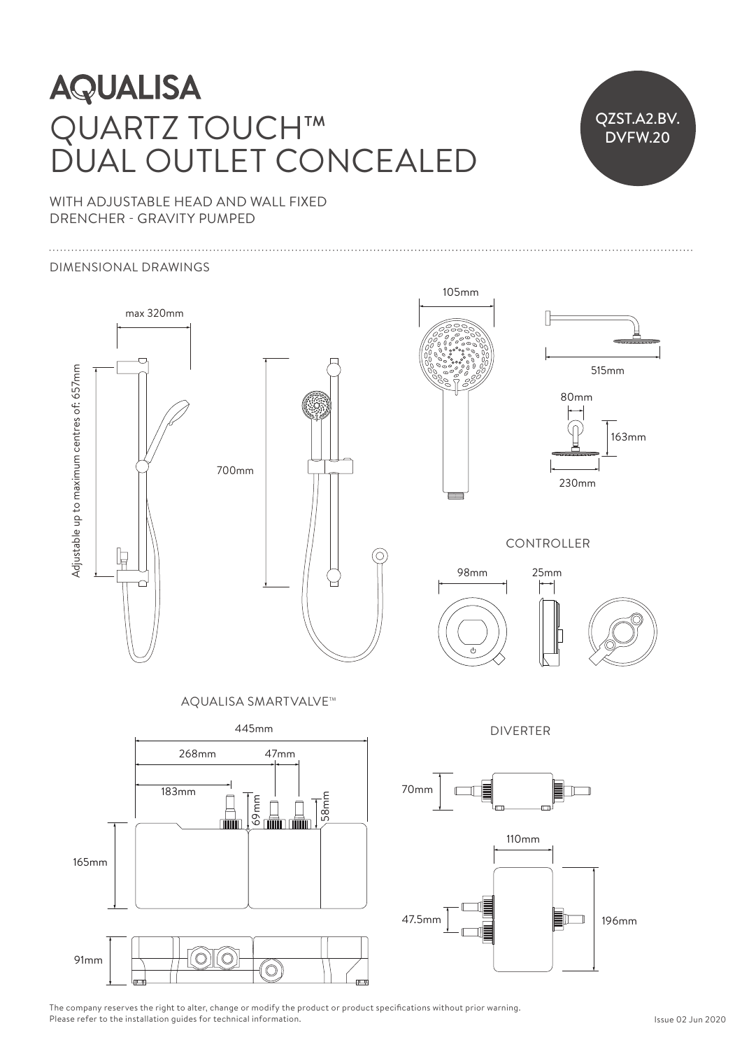## **AQUALISA** QUARTZ TOUCH™  $\Box$ DUAL OUTLET CONCEALED ILIAL OUTLET CONCEA

515mm 230mm 230mm



Ceiling arm can be cut shorter to suit ceiling height

WITH ADJUSTABLE HEAD AND WALL FIXED DRENCHER - GRAVITY PUMPED

### DIMENSIONAL DRAWINGS





 $\mathcal{P}$  $230$ 105mm Ceiling arm can be cut shorter to suit ceiling height



515mm 230mm 163mm

**CONTROLLER** 





AQUALISA SMARTVALVE<sup>TM</sup>



DIVERTER





The company reserves the right to alter, change or modify the product or product specifications without prior warning. Please refer to the installation guides for technical information.  $\mathfrak{S}^n$